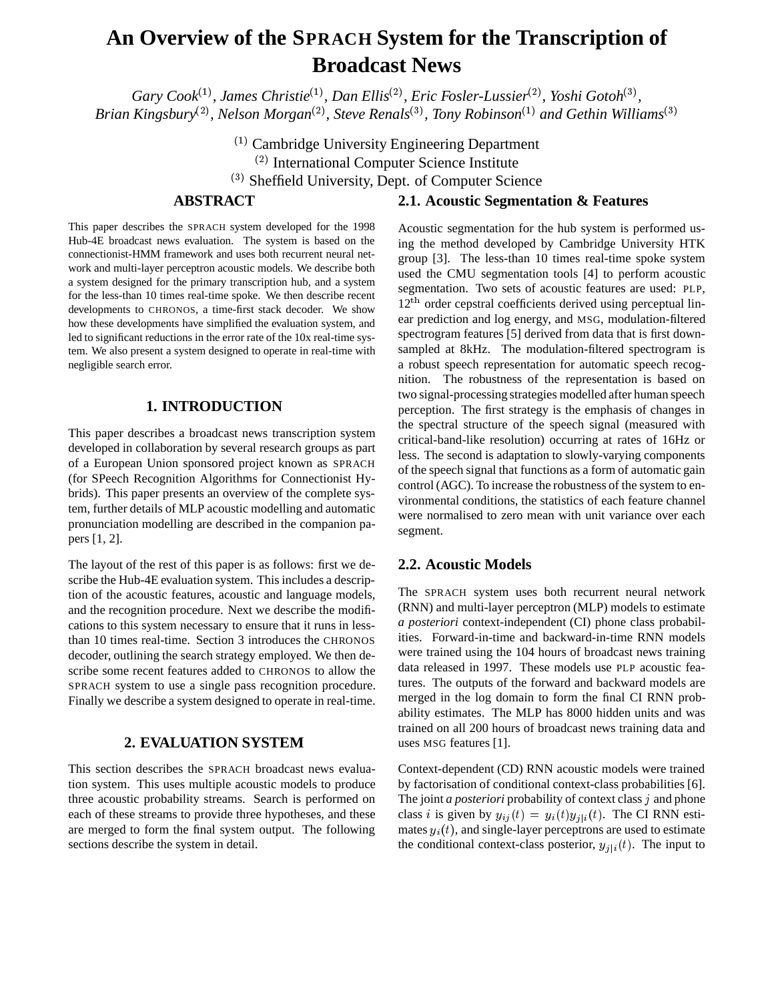# **An Overview of the SPRACH System for the Transcription of Broadcast News**

*Gary Cook*(1) *, James Christie*(1)*, Dan Ellis*(2) *, Eric Fosler-Lussier*(2)*, Yoshi Gotoh*(3) *, Brian Kingsbury*(2) *, Nelson Morgan*(2) *, Steve Renals*(3) *, Tony Robinson*(1) *and Gethin Williams*(3)

> (1) Cambridge University Engineering Department (2) International Computer Science Institute (3) Sheffield University, Dept. of Computer Science

# **ABSTRACT**

This paper describes the SPRACH system developed for the 1998 Hub-4E broadcast news evaluation. The system is based on the connectionist-HMM framework and uses both recurrent neural network and multi-layer perceptron acoustic models. We describe both a system designed for the primary transcription hub, and a system for the less-than 10 times real-time spoke. We then describe recent developments to CHRONOS, a time-first stack decoder. We show how these developments have simplified the evaluation system, and led to significant reductions in the error rate of the 10x real-time system. We also present a system designed to operate in real-time with negligible search error.

## **1. INTRODUCTION**

This paper describes a broadcast news transcription system developed in collaboration by several research groups as part of a European Union sponsored project known as SPRACH (for SPeech Recognition Algorithms for Connectionist Hybrids). This paper presents an overview of the complete system, further details of MLP acoustic modelling and automatic pronunciation modelling are described in the companion papers [1, 2].

The layout of the rest of this paper is as follows: first we describe the Hub-4E evaluation system. This includes a description of the acoustic features, acoustic and language models, and the recognition procedure. Next we describe the modifications to this system necessary to ensure that it runs in lessthan 10 times real-time. Section 3 introduces the CHRONOS decoder, outlining the search strategy employed. We then describe some recent features added to CHRONOS to allow the SPRACH system to use a single pass recognition procedure. Finally we describe a system designed to operate in real-time.

## **2. EVALUATION SYSTEM**

This section describes the SPRACH broadcast news evaluation system. This uses multiple acoustic models to produce three acoustic probability streams. Search is performed on each of these streams to provide three hypotheses, and these are merged to form the final system output. The following sections describe the system in detail.

## **2.1. Acoustic Segmentation & Features**

Acoustic segmentation for the hub system is performed using the method developed by Cambridge University HTK group [3]. The less-than 10 times real-time spoke system used the CMU segmentation tools [4] to perform acoustic segmentation. Two sets of acoustic features are used: PLP,  $12<sup>th</sup>$  order cepstral coefficients derived using perceptual linear prediction and log energy, and MSG, modulation-filtered spectrogram features [5] derived from data that is first downsampled at 8kHz. The modulation-filtered spectrogram is a robust speech representation for automatic speech recognition. The robustness of the representation is based on two signal-processing strategies modelled after human speech perception. The first strategy is the emphasis of changes in the spectral structure of the speech signal (measured with critical-band-like resolution) occurring at rates of 16Hz or less. The second is adaptation to slowly-varying components of the speech signal that functions as a form of automatic gain control (AGC). To increase the robustness of the system to environmental conditions, the statistics of each feature channel were normalised to zero mean with unit variance over each segment.

### **2.2. Acoustic Models**

The SPRACH system uses both recurrent neural network (RNN) and multi-layer perceptron (MLP) models to estimate *a posteriori* context-independent (CI) phone class probabilities. Forward-in-time and backward-in-time RNN models were trained using the 104 hours of broadcast news training data released in 1997. These models use PLP acoustic features. The outputs of the forward and backward models are merged in the log domain to form the final CI RNN probability estimates. The MLP has 8000 hidden units and was trained on all 200 hours of broadcast news training data and uses MSG features [1].

Context-dependent (CD) RNN acoustic models were trained by factorisation of conditional context-class probabilities [6]. The joint *a posteriori* probability of context class <sup>j</sup> and phone class i is given by  $y_{ij}(t) = y_i(t)y_{j|i}(t)$ . The CI RNN estimates  $y_i(t)$ , and single-layer perceptrons are used to estimate the conditional context-class posterior,  $y_{j|i}(t)$ . The input to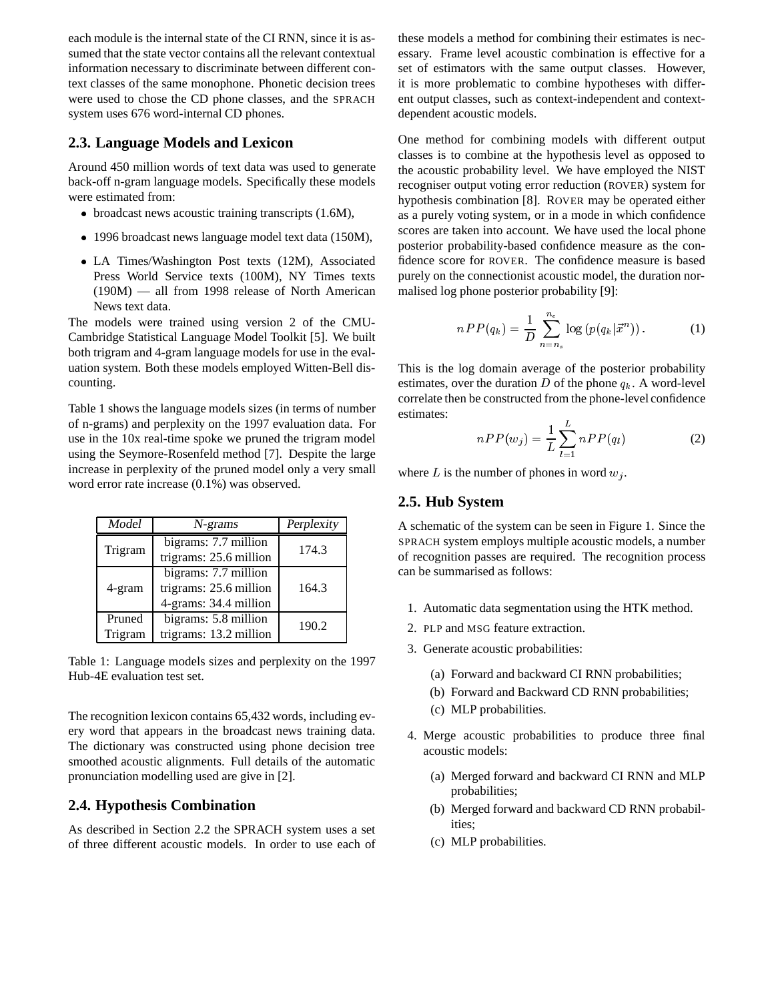each module is the internal state of the CI RNN, since it is assumed that the state vector contains all the relevant contextual information necessary to discriminate between different context classes of the same monophone. Phonetic decision trees were used to chose the CD phone classes, and the SPRACH system uses 676 word-internal CD phones.

# **2.3. Language Models and Lexicon**

Around 450 million words of text data was used to generate back-off n-gram language models. Specifically these models were estimated from:

- $\bullet$  broadcast news acoustic training transcripts (1.6M),
- 1996 broadcast news language model text data (150M),
- LA Times/Washington Post texts (12M), Associated Press World Service texts (100M), NY Times texts (190M) — all from 1998 release of North American News text data.

The models were trained using version 2 of the CMU-Cambridge Statistical Language Model Toolkit [5]. We built both trigram and 4-gram language models for use in the evaluation system. Both these models employed Witten-Bell discounting.

Table 1 shows the language models sizes (in terms of number of n-grams) and perplexity on the 1997 evaluation data. For use in the 10x real-time spoke we pruned the trigram model using the Seymore-Rosenfeld method [7]. Despite the large increase in perplexity of the pruned model only a very small word error rate increase (0.1%) was observed.

| Model   | $N$ -grams             | Perplexity |
|---------|------------------------|------------|
| Trigram | bigrams: 7.7 million   | 174.3      |
|         | trigrams: 25.6 million |            |
|         | bigrams: 7.7 million   |            |
| 4-gram  | trigrams: 25.6 million | 164.3      |
|         | 4-grams: 34.4 million  |            |
| Pruned  | bigrams: 5.8 million   | 190.2      |
| Trigram | trigrams: 13.2 million |            |

Table 1: Language models sizes and perplexity on the 1997 Hub-4E evaluation test set.

The recognition lexicon contains 65,432 words, including every word that appears in the broadcast news training data. The dictionary was constructed using phone decision tree smoothed acoustic alignments. Full details of the automatic pronunciation modelling used are give in [2].

# **2.4. Hypothesis Combination**

As described in Section 2.2 the SPRACH system uses a set of three different acoustic models. In order to use each of these models a method for combining their estimates is necessary. Frame level acoustic combination is effective for a set of estimators with the same output classes. However, it is more problematic to combine hypotheses with different output classes, such as context-independent and contextdependent acoustic models.

One method for combining models with different output classes is to combine at the hypothesis level as opposed to the acoustic probability level. We have employed the NIST recogniser output voting error reduction (ROVER) system for hypothesis combination [8]. ROVER may be operated either as a purely voting system, or in a mode in which confidence scores are taken into account. We have used the local phone posterior probability-based confidence measure as the confidence score for ROVER. The confidence measure is based purely on the connectionist acoustic model, the duration normalised log phone posterior probability [9]:

$$
nPP(q_k) = \frac{1}{D} \sum_{n=n_s}^{n_e} \log (p(q_k|\vec{x}^n)).
$$
 (1)

This is the log domain average of the posterior probability estimates, over the duration D of the phone  $q_k$ . A word-level correlate then be constructed from the phone-level confidence estimates:

$$
nPP(w_j) = \frac{1}{L} \sum_{l=1}^{L} nPP(q_l)
$$
 (2)

where L is the number of phones in word  $w_i$ .

# **2.5. Hub System**

A schematic of the system can be seen in Figure 1. Since the SPRACH system employs multiple acoustic models, a number of recognition passes are required. The recognition process can be summarised as follows:

- 1. Automatic data segmentation using the HTK method.
- 2. PLP and MSG feature extraction.
- 3. Generate acoustic probabilities:
	- (a) Forward and backward CI RNN probabilities;
	- (b) Forward and Backward CD RNN probabilities;
	- (c) MLP probabilities.
- 4. Merge acoustic probabilities to produce three final acoustic models:
	- (a) Merged forward and backward CI RNN and MLP probabilities;
	- (b) Merged forward and backward CD RNN probabilities;
	- (c) MLP probabilities.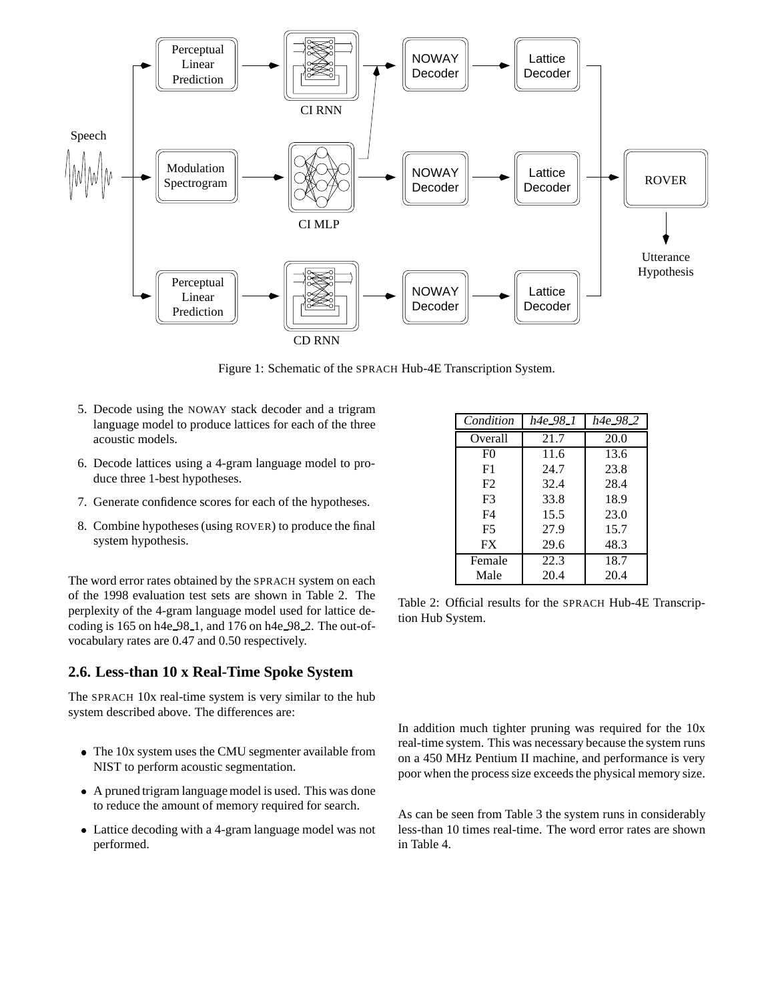

Figure 1: Schematic of the SPRACH Hub-4E Transcription System.

- 5. Decode using the NOWAY stack decoder and a trigram language model to produce lattices for each of the three acoustic models.
- 6. Decode lattices using a 4-gram language model to produce three 1-best hypotheses.
- 7. Generate confidence scores for each of the hypotheses.
- 8. Combine hypotheses (using ROVER) to produce the final system hypothesis.

The word error rates obtained by the SPRACH system on each of the 1998 evaluation test sets are shown in Table 2. The perplexity of the 4-gram language model used for lattice decoding is 165 on h4e 98 1, and 176 on h4e 98 2. The out-ofvocabulary rates are 0.47 and 0.50 respectively.

# **2.6. Less-than 10 x Real-Time Spoke System**

The SPRACH 10x real-time system is very similar to the hub system described above. The differences are:

- The 10x system uses the CMU segmenter available from NIST to perform acoustic segmentation.
- A pruned trigram language model is used. This was done to reduce the amount of memory required for search.
- Lattice decoding with a 4-gram language model was not performed.

| Condition      | h4e_98_1 | $h4e_{-}98_{-}2$ |
|----------------|----------|------------------|
| Overall        | 21.7     | 20.0             |
| F <sub>0</sub> | 11.6     | 13.6             |
| F1             | 24.7     | 23.8             |
| F2             | 32.4     | 28.4             |
| F3             | 33.8     | 18.9             |
| F4             | 15.5     | 23.0             |
| F5             | 27.9     | 15.7             |
| <b>FX</b>      | 29.6     | 48.3             |
| Female         | 22.3     | 18.7             |
| Male           | 20.4     | 20.4             |

Table 2: Official results for the SPRACH Hub-4E Transcription Hub System.

In addition much tighter pruning was required for the 10x real-time system. This was necessary because the system runs on a 450 MHz Pentium II machine, and performance is very poor when the process size exceeds the physical memory size.

As can be seen from Table 3 the system runs in considerably less-than 10 times real-time. The word error rates are shown in Table 4.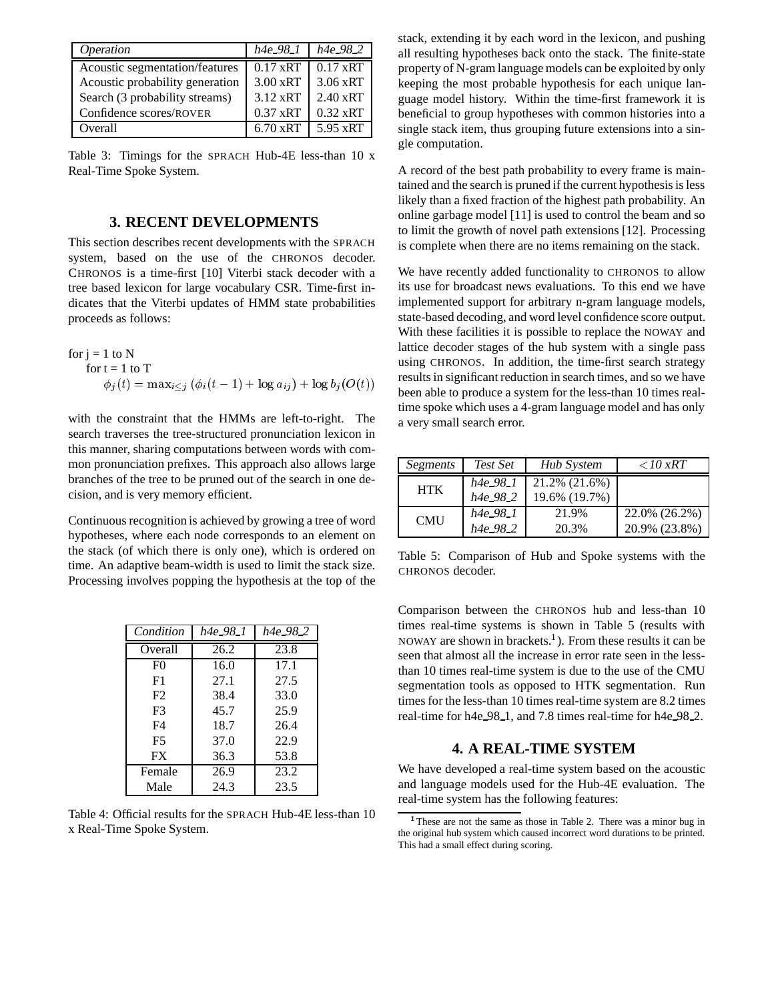| Operation                       | $h4e_98_1$         | $h4e_{-}98_{-}2$   |
|---------------------------------|--------------------|--------------------|
| Acoustic segmentation/features  | $0.17 \text{ xRT}$ | $0.17 \text{ xRT}$ |
| Acoustic probability generation | $3.00 \times RT$   | $3.06 \text{ xRT}$ |
| Search (3 probability streams)  | 3.12 xRT           | $2.40 \text{ xRT}$ |
| Confidence scores/ROVER         | $0.37 \text{ xRT}$ | $0.32 \text{ xRT}$ |
| Overall                         | $6.70 \text{ xRT}$ | $5.95 \text{ xRT}$ |

Table 3: Timings for the SPRACH Hub-4E less-than 10 x Real-Time Spoke System.

## **3. RECENT DEVELOPMENTS**

This section describes recent developments with the SPRACH system, based on the use of the CHRONOS decoder. CHRONOS is a time-first [10] Viterbi stack decoder with a tree based lexicon for large vocabulary CSR. Time-first indicates that the Viterbi updates of HMM state probabilities proceeds as follows:

for j = 1 to N  
\nfor t = 1 to T  
\n
$$
\phi_j(t) = \max_{i \leq j} (\phi_i(t-1) + \log a_{ij}) + \log b_j(O(t))
$$
\nres

with the constraint that the HMMs are left-to-right. The search traverses the tree-structured pronunciation lexicon in this manner, sharing computations between words with common pronunciation prefixes. This approach also allows large branches of the tree to be pruned out of the search in one decision, and is very memory efficient.

Continuous recognition is achieved by growing a tree of word hypotheses, where each node corresponds to an element on the stack (of which there is only one), which is ordered on time. An adaptive beam-width is used to limit the stack size. Processing involves popping the hypothesis at the top of the

| Condition      | h4e_98_1 | h4e_98_2 |
|----------------|----------|----------|
| Overall        | 26.2     | 23.8     |
| F <sub>0</sub> | 16.0     | 17.1     |
| F1             | 27.1     | 27.5     |
| F2             | 38.4     | 33.0     |
| F <sub>3</sub> | 45.7     | 25.9     |
| F4             | 18.7     | 26.4     |
| F <sub>5</sub> | 37.0     | 22.9     |
| <b>FX</b>      | 36.3     | 53.8     |
| Female         | 26.9     | 23.2     |
| Male           | 24.3     | 23.5     |

Table 4: Official results for the SPRACH Hub-4E less-than 10 x Real-Time Spoke System.

stack, extending it by each word in the lexicon, and pushing all resulting hypotheses back onto the stack. The finite-state property of N-gram language models can be exploited by only keeping the most probable hypothesis for each unique language model history. Within the time-first framework it is beneficial to group hypotheses with common histories into a single stack item, thus grouping future extensions into a single computation.

A record of the best path probability to every frame is maintained and the search is pruned if the current hypothesis is less likely than a fixed fraction of the highest path probability. An online garbage model [11] is used to control the beam and so to limit the growth of novel path extensions [12]. Processing is complete when there are no items remaining on the stack.

We have recently added functionality to CHRONOS to allow its use for broadcast news evaluations. To this end we have implemented support for arbitrary n-gram language models, state-based decoding, and word level confidence score output. With these facilities it is possible to replace the NOWAY and lattice decoder stages of the hub system with a single pass using CHRONOS. In addition, the time-first search strategy results in significant reduction in search times, and so we have been able to produce a system for the less-than 10 times realtime spoke which uses a 4-gram language model and has only a very small search error.

| Segments   | Test Set         | Hub System    | $<$ 10 xRT    |
|------------|------------------|---------------|---------------|
| <b>HTK</b> | $h4e_98_1$       | 21.2% (21.6%) |               |
|            | h4e_98_2         | 19.6% (19.7%) |               |
| <b>CMU</b> | h4e_98_1         | 21.9%         | 22.0% (26.2%) |
|            | $h4e_{-}98_{-}2$ | 20.3%         | 20.9% (23.8%) |

Table 5: Comparison of Hub and Spoke systems with the CHRONOS decoder.

Comparison between the CHRONOS hub and less-than 10 times real-time systems is shown in Table 5 (results with NOWAY are shown in brackets.<sup>1</sup>). From these results it can be seen that almost all the increase in error rate seen in the lessthan 10 times real-time system is due to the use of the CMU segmentation tools as opposed to HTK segmentation. Run times for the less-than 10 times real-time system are 8.2 times real-time for h4e 98 1, and 7.8 times real-time for h4e 98 2.

## **4. A REAL-TIME SYSTEM**

We have developed a real-time system based on the acoustic and language models used for the Hub-4E evaluation. The real-time system has the following features:

<sup>&</sup>lt;sup>1</sup>These are not the same as those in Table 2. There was a minor bug in the original hub system which caused incorrect word durations to be printed. This had a small effect during scoring.